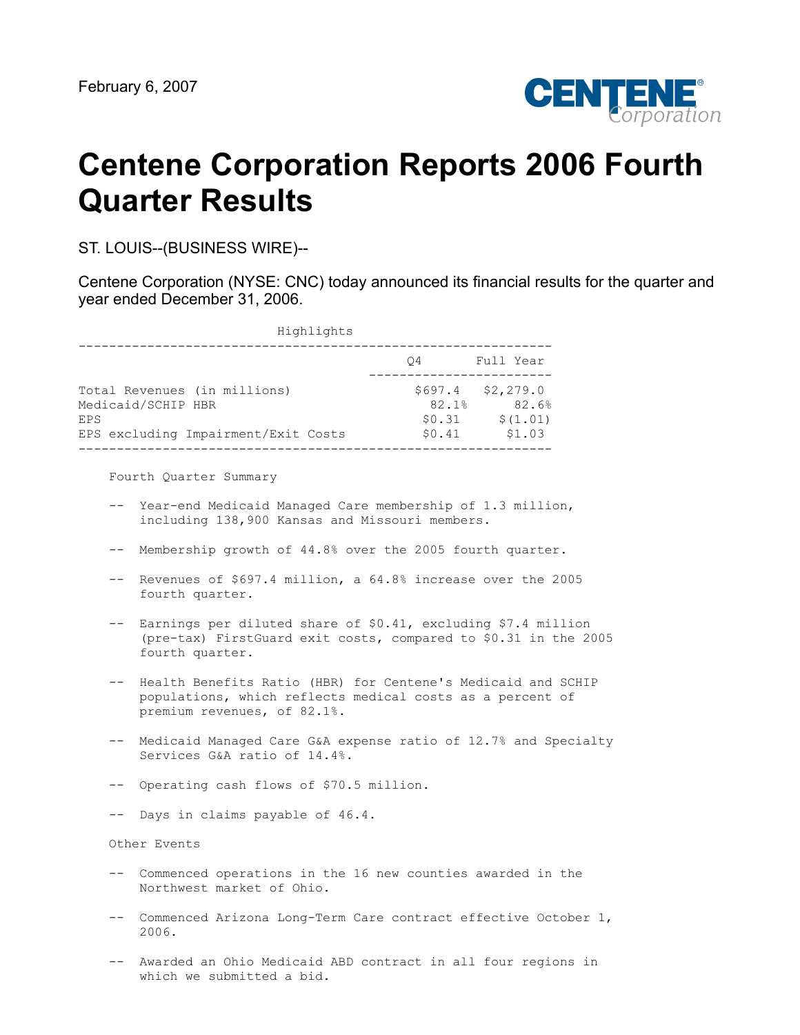

# **Centene Corporation Reports 2006 Fourth Quarter Results**

ST. LOUIS--(BUSINESS WIRE)--

Centene Corporation (NYSE: CNC) today announced its financial results for the quarter and year ended December 31, 2006.

| Highlights                                                                                       |                                      |                                          |
|--------------------------------------------------------------------------------------------------|--------------------------------------|------------------------------------------|
|                                                                                                  | 04                                   | Full Year                                |
| Total Revenues (in millions)<br>Medicaid/SCHIP HBR<br>EPS<br>EPS excluding Impairment/Exit Costs | \$697.4<br>82.1%<br>\$0.31<br>\$0.41 | \$2,279.0<br>82.6%<br>\$(1.01)<br>\$1.03 |

Fourth Quarter Summary

- -- Year-end Medicaid Managed Care membership of 1.3 million, including 138,900 Kansas and Missouri members.
- -- Membership growth of 44.8% over the 2005 fourth quarter.
- -- Revenues of \$697.4 million, a 64.8% increase over the 2005 fourth quarter.
- -- Earnings per diluted share of \$0.41, excluding \$7.4 million (pre-tax) FirstGuard exit costs, compared to \$0.31 in the 2005 fourth quarter.
- -- Health Benefits Ratio (HBR) for Centene's Medicaid and SCHIP populations, which reflects medical costs as a percent of premium revenues, of 82.1%.
- -- Medicaid Managed Care G&A expense ratio of 12.7% and Specialty Services G&A ratio of 14.4%.
- -- Operating cash flows of \$70.5 million.
- -- Days in claims payable of 46.4.

Other Events

- -- Commenced operations in the 16 new counties awarded in the Northwest market of Ohio.
- -- Commenced Arizona Long-Term Care contract effective October 1, 2006.
- -- Awarded an Ohio Medicaid ABD contract in all four regions in which we submitted a bid.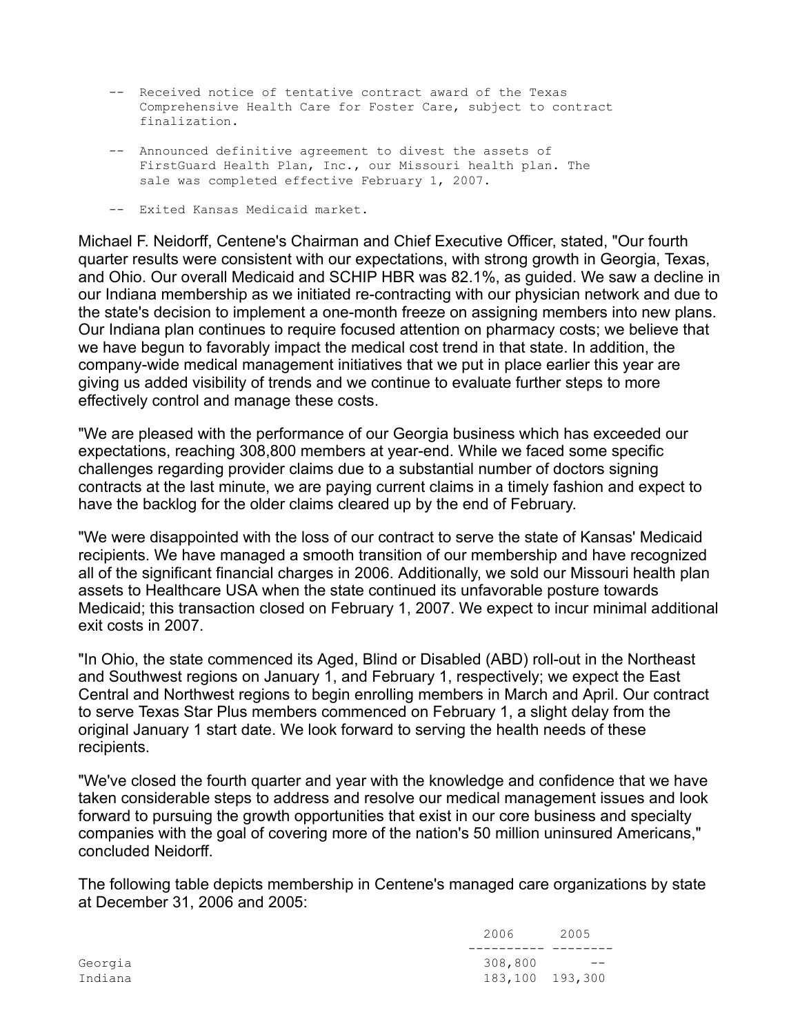- -- Received notice of tentative contract award of the Texas Comprehensive Health Care for Foster Care, subject to contract finalization.
- -- Announced definitive agreement to divest the assets of FirstGuard Health Plan, Inc., our Missouri health plan. The sale was completed effective February 1, 2007.
- -- Exited Kansas Medicaid market.

Michael F. Neidorff, Centene's Chairman and Chief Executive Officer, stated, "Our fourth quarter results were consistent with our expectations, with strong growth in Georgia, Texas, and Ohio. Our overall Medicaid and SCHIP HBR was 82.1%, as guided. We saw a decline in our Indiana membership as we initiated re-contracting with our physician network and due to the state's decision to implement a one-month freeze on assigning members into new plans. Our Indiana plan continues to require focused attention on pharmacy costs; we believe that we have begun to favorably impact the medical cost trend in that state. In addition, the company-wide medical management initiatives that we put in place earlier this year are giving us added visibility of trends and we continue to evaluate further steps to more effectively control and manage these costs.

"We are pleased with the performance of our Georgia business which has exceeded our expectations, reaching 308,800 members at year-end. While we faced some specific challenges regarding provider claims due to a substantial number of doctors signing contracts at the last minute, we are paying current claims in a timely fashion and expect to have the backlog for the older claims cleared up by the end of February.

"We were disappointed with the loss of our contract to serve the state of Kansas' Medicaid recipients. We have managed a smooth transition of our membership and have recognized all of the significant financial charges in 2006. Additionally, we sold our Missouri health plan assets to Healthcare USA when the state continued its unfavorable posture towards Medicaid; this transaction closed on February 1, 2007. We expect to incur minimal additional exit costs in 2007.

"In Ohio, the state commenced its Aged, Blind or Disabled (ABD) roll-out in the Northeast and Southwest regions on January 1, and February 1, respectively; we expect the East Central and Northwest regions to begin enrolling members in March and April. Our contract to serve Texas Star Plus members commenced on February 1, a slight delay from the original January 1 start date. We look forward to serving the health needs of these recipients.

"We've closed the fourth quarter and year with the knowledge and confidence that we have taken considerable steps to address and resolve our medical management issues and look forward to pursuing the growth opportunities that exist in our core business and specialty companies with the goal of covering more of the nation's 50 million uninsured Americans," concluded Neidorff.

The following table depicts membership in Centene's managed care organizations by state at December 31, 2006 and 2005:

|         | 2006            | 2005              |
|---------|-----------------|-------------------|
|         |                 |                   |
| Georgia | 308,800         | $\qquad \qquad -$ |
| Indiana | 183,100 193,300 |                   |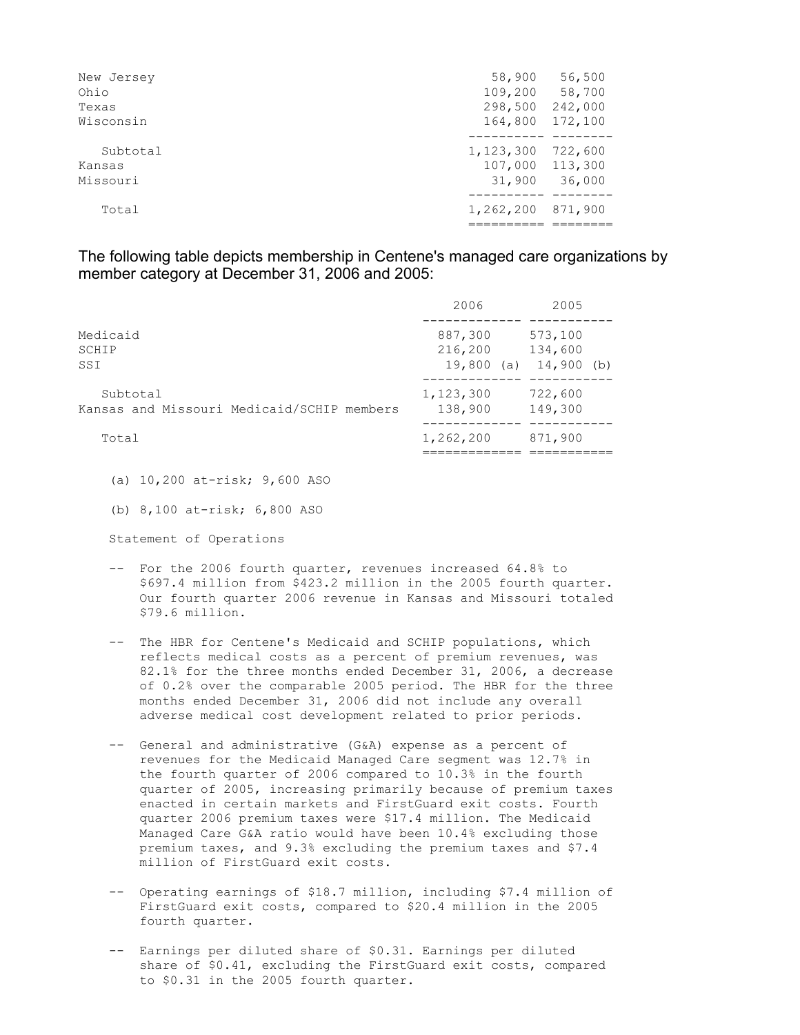| New Jersey | 58,900    | 56,500  |
|------------|-----------|---------|
| Ohio       | 109,200   | 58,700  |
| Texas      | 298,500   | 242,000 |
| Wisconsin  | 164,800   | 172,100 |
| Subtotal   | 1,123,300 | 722,600 |
| Kansas     | 107,000   | 113,300 |
| Missouri   | 31,900    | 36,000  |
| Total      | 1,262,200 | 871,900 |
|            |           |         |

The following table depicts membership in Centene's managed care organizations by member category at December 31, 2006 and 2005:

|                                                        | 2006                                | 2005                               |
|--------------------------------------------------------|-------------------------------------|------------------------------------|
| Medicaid<br>SCHIP<br>SSI                               | 887,300<br>216,200<br>19,800<br>(a) | 573,100<br>134,600<br>$14,900$ (b) |
| Subtotal<br>Kansas and Missouri Medicaid/SCHIP members | 1,123,300<br>138,900                | 722,600<br>149,300                 |
| Total                                                  | 1,262,200                           | 871,900                            |

 <sup>(</sup>a) 10,200 at-risk; 9,600 ASO

Statement of Operations

- -- For the 2006 fourth quarter, revenues increased 64.8% to \$697.4 million from \$423.2 million in the 2005 fourth quarter. Our fourth quarter 2006 revenue in Kansas and Missouri totaled \$79.6 million.
- -- The HBR for Centene's Medicaid and SCHIP populations, which reflects medical costs as a percent of premium revenues, was 82.1% for the three months ended December 31, 2006, a decrease of 0.2% over the comparable 2005 period. The HBR for the three months ended December 31, 2006 did not include any overall adverse medical cost development related to prior periods.
- -- General and administrative (G&A) expense as a percent of revenues for the Medicaid Managed Care segment was 12.7% in the fourth quarter of 2006 compared to 10.3% in the fourth quarter of 2005, increasing primarily because of premium taxes enacted in certain markets and FirstGuard exit costs. Fourth quarter 2006 premium taxes were \$17.4 million. The Medicaid Managed Care G&A ratio would have been 10.4% excluding those premium taxes, and 9.3% excluding the premium taxes and \$7.4 million of FirstGuard exit costs.
- -- Operating earnings of \$18.7 million, including \$7.4 million of FirstGuard exit costs, compared to \$20.4 million in the 2005 fourth quarter.
- -- Earnings per diluted share of \$0.31. Earnings per diluted share of \$0.41, excluding the FirstGuard exit costs, compared to \$0.31 in the 2005 fourth quarter.

 <sup>(</sup>b) 8,100 at-risk; 6,800 ASO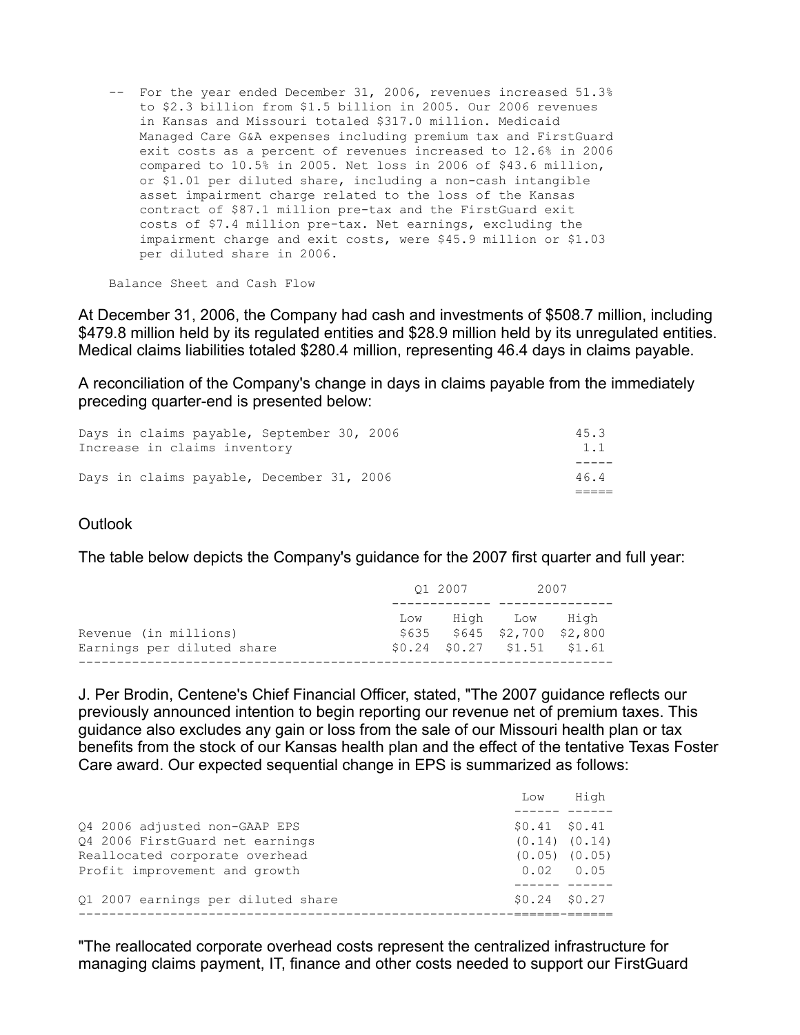-- For the year ended December 31, 2006, revenues increased 51.3% to \$2.3 billion from \$1.5 billion in 2005. Our 2006 revenues in Kansas and Missouri totaled \$317.0 million. Medicaid Managed Care G&A expenses including premium tax and FirstGuard exit costs as a percent of revenues increased to 12.6% in 2006 compared to 10.5% in 2005. Net loss in 2006 of \$43.6 million, or \$1.01 per diluted share, including a non-cash intangible asset impairment charge related to the loss of the Kansas contract of \$87.1 million pre-tax and the FirstGuard exit costs of \$7.4 million pre-tax. Net earnings, excluding the impairment charge and exit costs, were \$45.9 million or \$1.03 per diluted share in 2006.

Balance Sheet and Cash Flow

At December 31, 2006, the Company had cash and investments of \$508.7 million, including \$479.8 million held by its regulated entities and \$28.9 million held by its unregulated entities. Medical claims liabilities totaled \$280.4 million, representing 46.4 days in claims payable.

A reconciliation of the Company's change in days in claims payable from the immediately preceding quarter-end is presented below:

| Days in claims payable, December 31, 2006  | 46.4 |
|--------------------------------------------|------|
|                                            |      |
| Increase in claims inventory               | 1.1  |
| Days in claims payable, September 30, 2006 | 45.3 |

# **Outlook**

The table below depicts the Company's guidance for the 2007 first quarter and full year:

|                                                     | 01 2007 |  | 2007                                                                                    |  |
|-----------------------------------------------------|---------|--|-----------------------------------------------------------------------------------------|--|
| Revenue (in millions)<br>Earnings per diluted share |         |  | Low High Low High<br>$$635$ $$645$ $$2,700$ $$2,800$<br>$$0.24$ $$0.27$ $$1.51$ $$1.61$ |  |

J. Per Brodin, Centene's Chief Financial Officer, stated, "The 2007 guidance reflects our previously announced intention to begin reporting our revenue net of premium taxes. This guidance also excludes any gain or loss from the sale of our Missouri health plan or tax benefits from the stock of our Kansas health plan and the effect of the tentative Texas Foster Care award. Our expected sequential change in EPS is summarized as follows:

|                                    | Low               | High |
|------------------------------------|-------------------|------|
|                                    |                   |      |
| 04 2006 adjusted non-GAAP EPS      | $$0.41$ $$0.41$   |      |
| 04 2006 FirstGuard net earnings    | $(0.14)$ $(0.14)$ |      |
| Reallocated corporate overhead     | $(0.05)$ $(0.05)$ |      |
| Profit improvement and growth      | $0.02 \t 0.05$    |      |
|                                    |                   |      |
| Q1 2007 earnings per diluted share | $$0.24$ $$0.27$   |      |
|                                    |                   |      |

"The reallocated corporate overhead costs represent the centralized infrastructure for managing claims payment, IT, finance and other costs needed to support our FirstGuard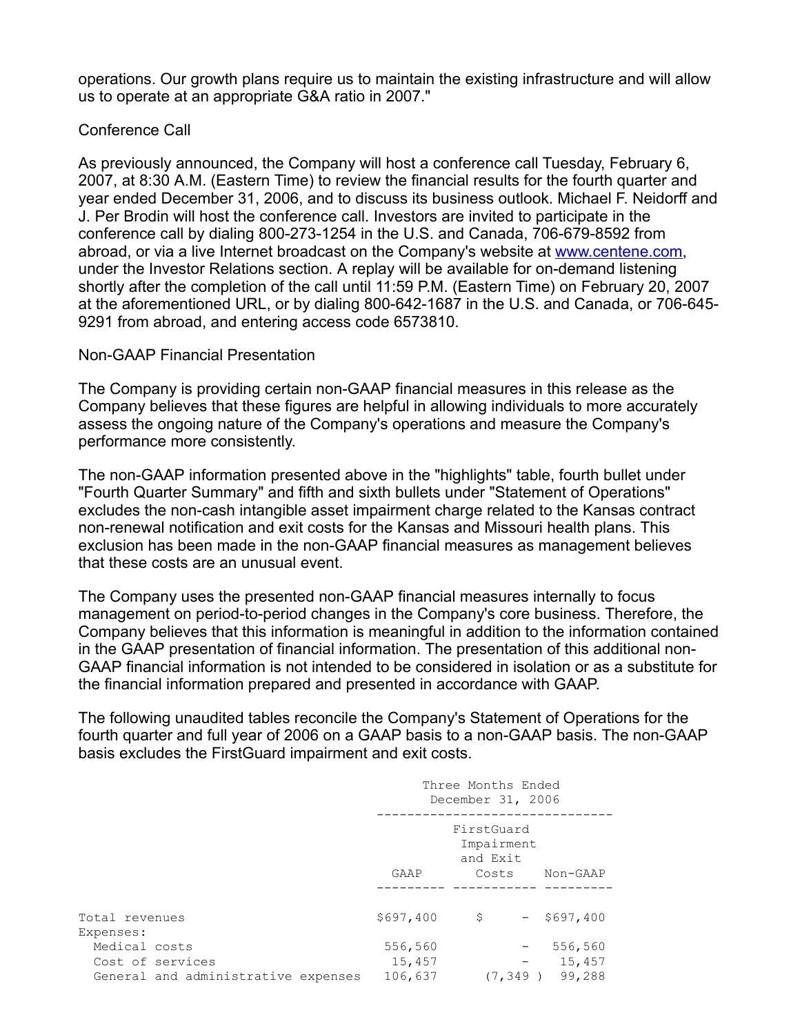operations. Our growth plans require us to maintain the existing infrastructure and will allow us to operate at an appropriate G&A ratio in 2007."

# Conference Call

As previously announced, the Company will host a conference call Tuesday, February 6, 2007, at 8:30 A.M. (Eastern Time) to review the financial results for the fourth quarter and year ended December 31, 2006, and to discuss its business outlook. Michael F. Neidorff and J. Per Brodin will host the conference call. Investors are invited to participate in the conference call by dialing 800-273-1254 in the U.S. and Canada, 706-679-8592 from abroad, or via a live Internet broadcast on the Company's website at [www.centene.com,](http://www.centene.com/) under the Investor Relations section. A replay will be available for on-demand listening shortly after the completion of the call until 11:59 P.M. (Eastern Time) on February 20, 2007 at the aforementioned URL, or by dialing 800-642-1687 in the U.S. and Canada, or 706-645- 9291 from abroad, and entering access code 6573810.

# Non-GAAP Financial Presentation

The Company is providing certain non-GAAP financial measures in this release as the Company believes that these figures are helpful in allowing individuals to more accurately assess the ongoing nature of the Company's operations and measure the Company's performance more consistently.

The non-GAAP information presented above in the "highlights" table, fourth bullet under "Fourth Quarter Summary" and fifth and sixth bullets under "Statement of Operations" excludes the non-cash intangible asset impairment charge related to the Kansas contract non-renewal notification and exit costs for the Kansas and Missouri health plans. This exclusion has been made in the non-GAAP financial measures as management believes that these costs are an unusual event.

The Company uses the presented non-GAAP financial measures internally to focus management on period-to-period changes in the Company's core business. Therefore, the Company believes that this information is meaningful in addition to the information contained in the GAAP presentation of financial information. The presentation of this additional non-GAAP financial information is not intended to be considered in isolation or as a substitute for the financial information prepared and presented in accordance with GAAP.

The following unaudited tables reconcile the Company's Statement of Operations for the fourth quarter and full year of 2006 on a GAAP basis to a non-GAAP basis. The non-GAAP basis excludes the FirstGuard impairment and exit costs.

|                                                                          | Three Months Ended<br>December 31, 2006 |                                               |                   |                             |
|--------------------------------------------------------------------------|-----------------------------------------|-----------------------------------------------|-------------------|-----------------------------|
|                                                                          | GAAP                                    | FirstGuard<br>Impairment<br>and Exit<br>Costs |                   | Non-GAAP                    |
| Total revenues<br>Expenses:                                              | \$697,400                               | \$                                            |                   | $-$ \$697,400               |
| Medical costs<br>Cost of services<br>General and administrative expenses | 556,560<br>15,457<br>106,637            | (7, 349)                                      | $\qquad \qquad -$ | 556,560<br>15,457<br>99,288 |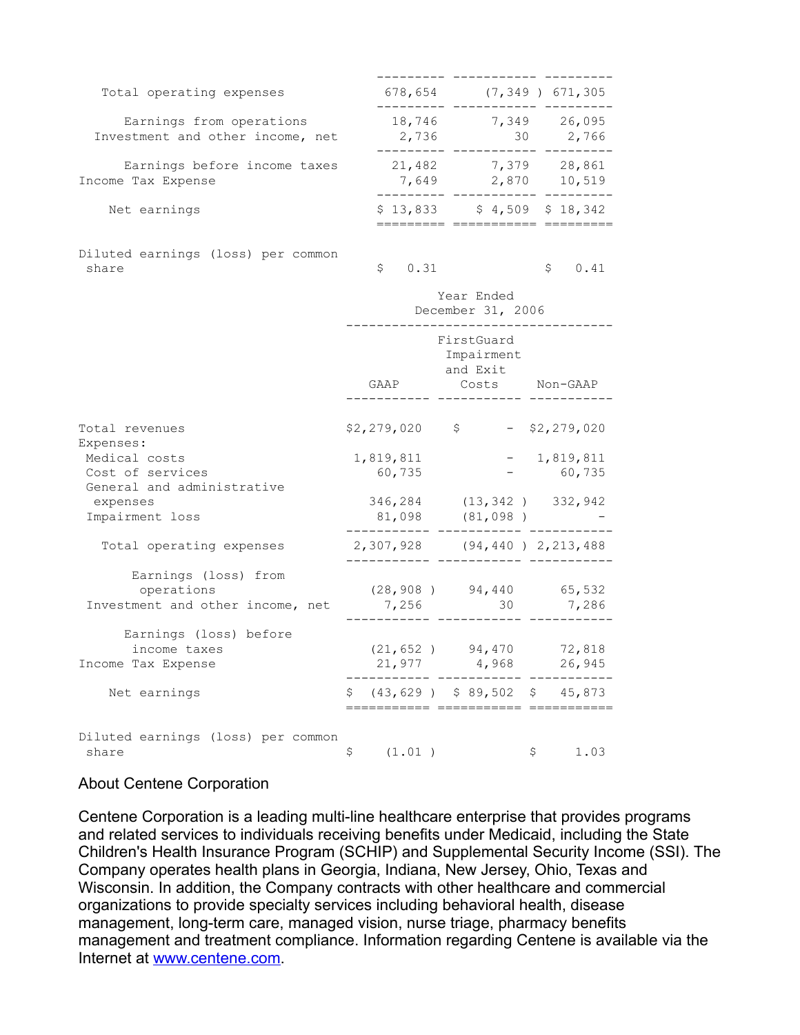| Total operating expenses                                     | 678,654         |                    | $(7, 349)$ 671, 305 |
|--------------------------------------------------------------|-----------------|--------------------|---------------------|
| Earnings from operations<br>Investment and other income, net | 18,746<br>2,736 | 7,349<br>30        | 26,095<br>2,766     |
| Earnings before income taxes<br>Income Tax Expense           | 21,482<br>7,649 | 7,379<br>2,870     | 28,861<br>10,519    |
| Net earnings                                                 | \$13,833        | $$4,509$ $$18,342$ |                     |
| Diluted earnings (loss) per common                           |                 |                    |                     |

 $\frac{1}{2}$  share  $\frac{1}{2}$   $\frac{1}{2}$   $\frac{1}{2}$   $\frac{1}{2}$   $\frac{1}{2}$   $\frac{1}{2}$   $\frac{1}{2}$   $\frac{1}{2}$   $\frac{1}{2}$   $\frac{1}{2}$   $\frac{1}{2}$   $\frac{1}{2}$   $\frac{1}{2}$   $\frac{1}{2}$   $\frac{1}{2}$   $\frac{1}{2}$   $\frac{1}{2}$   $\frac{1}{2}$   $\frac{1}{2}$   $\frac{1}{2}$   $\frac{1$ 

|                                                                              | Year Ended<br>December 31, 2006 |                     |  |                                                        |  |                        |
|------------------------------------------------------------------------------|---------------------------------|---------------------|--|--------------------------------------------------------|--|------------------------|
|                                                                              |                                 | GAAP                |  | FirstGuard<br>Impairment<br>and Exit<br>Costs Non-GAAP |  |                        |
| Total revenues                                                               |                                 | $$2,279,020$ \$     |  |                                                        |  | $-$ \$2,279,020        |
| Expenses:<br>Medical costs<br>Cost of services<br>General and administrative |                                 | 1,819,811<br>60,735 |  |                                                        |  | $-1,819,811$<br>60,735 |
| expenses<br>Impairment loss                                                  |                                 |                     |  | 346,284 (13,342) 332,942<br>81,098 (81,098)            |  |                        |
| Total operating expenses                                                     |                                 |                     |  | 2,307,928 (94,440) 2,213,488                           |  |                        |
| Earnings (loss) from<br>operations<br>Investment and other income, net       |                                 | 7,256               |  | $(28, 908)$ 94,440 65,532<br>30                        |  | 7,286                  |
| Earnings (loss) before<br>income taxes<br>Income Tax Expense                 |                                 |                     |  | $(21, 652)$ 94,470 72,818<br>21,977 4,968 26,945       |  |                        |
| Net earnings                                                                 |                                 |                     |  | $$(43, 629)$ $$89, 502$ $$45, 873$                     |  |                        |
| Diluted earnings (loss) per common<br>share                                  | \$                              | (1.01)              |  |                                                        |  | \$<br>1.03             |

# About Centene Corporation

Centene Corporation is a leading multi-line healthcare enterprise that provides programs and related services to individuals receiving benefits under Medicaid, including the State Children's Health Insurance Program (SCHIP) and Supplemental Security Income (SSI). The Company operates health plans in Georgia, Indiana, New Jersey, Ohio, Texas and Wisconsin. In addition, the Company contracts with other healthcare and commercial organizations to provide specialty services including behavioral health, disease management, long-term care, managed vision, nurse triage, pharmacy benefits management and treatment compliance. Information regarding Centene is available via the Internet at [www.centene.com](http://www.centene.com/).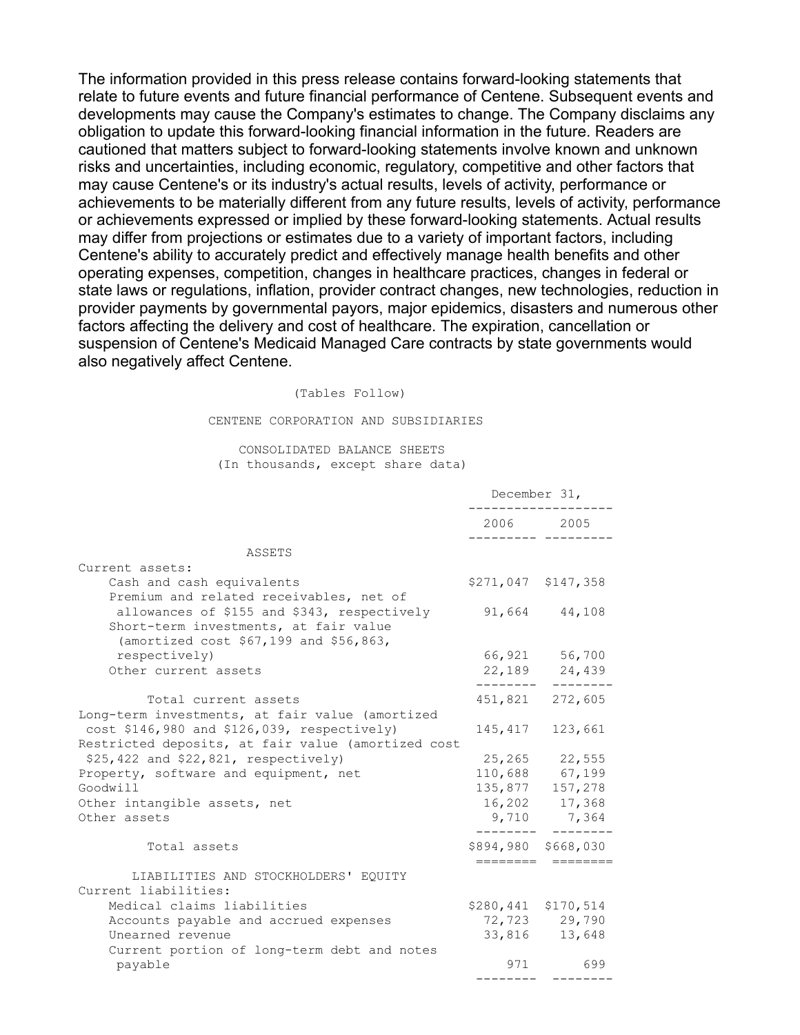The information provided in this press release contains forward-looking statements that relate to future events and future financial performance of Centene. Subsequent events and developments may cause the Company's estimates to change. The Company disclaims any obligation to update this forward-looking financial information in the future. Readers are cautioned that matters subject to forward-looking statements involve known and unknown risks and uncertainties, including economic, regulatory, competitive and other factors that may cause Centene's or its industry's actual results, levels of activity, performance or achievements to be materially different from any future results, levels of activity, performance or achievements expressed or implied by these forward-looking statements. Actual results may differ from projections or estimates due to a variety of important factors, including Centene's ability to accurately predict and effectively manage health benefits and other operating expenses, competition, changes in healthcare practices, changes in federal or state laws or regulations, inflation, provider contract changes, new technologies, reduction in provider payments by governmental payors, major epidemics, disasters and numerous other factors affecting the delivery and cost of healthcare. The expiration, cancellation or suspension of Centene's Medicaid Managed Care contracts by state governments would also negatively affect Centene.

#### (Tables Follow)

#### CENTENE CORPORATION AND SUBSIDIARIES

### CONSOLIDATED BALANCE SHEETS (In thousands, except share data)

| 2006 2005<br>ASSETS<br>Current assets:<br>Cash and cash equivalents<br>\$271,047 \$147,358<br>Premium and related receivables, net of<br>allowances of \$155 and \$343, respectively<br>91,664 44,108<br>Short-term investments, at fair value<br>(amortized cost \$67,199 and \$56,863,<br>respectively)<br>66,921 56,700<br>Other current assets<br>22, 189 24, 439<br>451,821 272,605<br>Total current assets<br>Long-term investments, at fair value (amortized<br>cost \$146,980 and \$126,039, respectively)<br>145,417<br>123,661<br>Restricted deposits, at fair value (amortized cost<br>\$25,422 and \$22,821, respectively)<br>25, 265 22, 555<br>110,688 67,199<br>Property, software and equipment, net<br>Goodwill<br>135,877 157,278<br>Other intangible assets, net<br>16,202 17,368<br>9,710 7,364<br>Other assets<br>\$894,980 \$668,030<br>Total assets<br>=======<br>LIABILITIES AND STOCKHOLDERS' EQUITY<br>Current liabilities:<br>Medical claims liabilities<br>\$280,441 \$170,514<br>Accounts payable and accrued expenses<br>72,723 29,790<br>Unearned revenue<br>33,816 13,648<br>Current portion of long-term debt and notes<br>971<br>699<br>payable | December 31, |  |  |
|-----------------------------------------------------------------------------------------------------------------------------------------------------------------------------------------------------------------------------------------------------------------------------------------------------------------------------------------------------------------------------------------------------------------------------------------------------------------------------------------------------------------------------------------------------------------------------------------------------------------------------------------------------------------------------------------------------------------------------------------------------------------------------------------------------------------------------------------------------------------------------------------------------------------------------------------------------------------------------------------------------------------------------------------------------------------------------------------------------------------------------------------------------------------------------------|--------------|--|--|
|                                                                                                                                                                                                                                                                                                                                                                                                                                                                                                                                                                                                                                                                                                                                                                                                                                                                                                                                                                                                                                                                                                                                                                                   |              |  |  |
|                                                                                                                                                                                                                                                                                                                                                                                                                                                                                                                                                                                                                                                                                                                                                                                                                                                                                                                                                                                                                                                                                                                                                                                   |              |  |  |
|                                                                                                                                                                                                                                                                                                                                                                                                                                                                                                                                                                                                                                                                                                                                                                                                                                                                                                                                                                                                                                                                                                                                                                                   |              |  |  |
|                                                                                                                                                                                                                                                                                                                                                                                                                                                                                                                                                                                                                                                                                                                                                                                                                                                                                                                                                                                                                                                                                                                                                                                   |              |  |  |
|                                                                                                                                                                                                                                                                                                                                                                                                                                                                                                                                                                                                                                                                                                                                                                                                                                                                                                                                                                                                                                                                                                                                                                                   |              |  |  |
|                                                                                                                                                                                                                                                                                                                                                                                                                                                                                                                                                                                                                                                                                                                                                                                                                                                                                                                                                                                                                                                                                                                                                                                   |              |  |  |
|                                                                                                                                                                                                                                                                                                                                                                                                                                                                                                                                                                                                                                                                                                                                                                                                                                                                                                                                                                                                                                                                                                                                                                                   |              |  |  |
|                                                                                                                                                                                                                                                                                                                                                                                                                                                                                                                                                                                                                                                                                                                                                                                                                                                                                                                                                                                                                                                                                                                                                                                   |              |  |  |
|                                                                                                                                                                                                                                                                                                                                                                                                                                                                                                                                                                                                                                                                                                                                                                                                                                                                                                                                                                                                                                                                                                                                                                                   |              |  |  |
|                                                                                                                                                                                                                                                                                                                                                                                                                                                                                                                                                                                                                                                                                                                                                                                                                                                                                                                                                                                                                                                                                                                                                                                   |              |  |  |
|                                                                                                                                                                                                                                                                                                                                                                                                                                                                                                                                                                                                                                                                                                                                                                                                                                                                                                                                                                                                                                                                                                                                                                                   |              |  |  |
|                                                                                                                                                                                                                                                                                                                                                                                                                                                                                                                                                                                                                                                                                                                                                                                                                                                                                                                                                                                                                                                                                                                                                                                   |              |  |  |
|                                                                                                                                                                                                                                                                                                                                                                                                                                                                                                                                                                                                                                                                                                                                                                                                                                                                                                                                                                                                                                                                                                                                                                                   |              |  |  |
|                                                                                                                                                                                                                                                                                                                                                                                                                                                                                                                                                                                                                                                                                                                                                                                                                                                                                                                                                                                                                                                                                                                                                                                   |              |  |  |
|                                                                                                                                                                                                                                                                                                                                                                                                                                                                                                                                                                                                                                                                                                                                                                                                                                                                                                                                                                                                                                                                                                                                                                                   |              |  |  |
|                                                                                                                                                                                                                                                                                                                                                                                                                                                                                                                                                                                                                                                                                                                                                                                                                                                                                                                                                                                                                                                                                                                                                                                   |              |  |  |
|                                                                                                                                                                                                                                                                                                                                                                                                                                                                                                                                                                                                                                                                                                                                                                                                                                                                                                                                                                                                                                                                                                                                                                                   |              |  |  |
|                                                                                                                                                                                                                                                                                                                                                                                                                                                                                                                                                                                                                                                                                                                                                                                                                                                                                                                                                                                                                                                                                                                                                                                   |              |  |  |
|                                                                                                                                                                                                                                                                                                                                                                                                                                                                                                                                                                                                                                                                                                                                                                                                                                                                                                                                                                                                                                                                                                                                                                                   |              |  |  |
|                                                                                                                                                                                                                                                                                                                                                                                                                                                                                                                                                                                                                                                                                                                                                                                                                                                                                                                                                                                                                                                                                                                                                                                   |              |  |  |
|                                                                                                                                                                                                                                                                                                                                                                                                                                                                                                                                                                                                                                                                                                                                                                                                                                                                                                                                                                                                                                                                                                                                                                                   |              |  |  |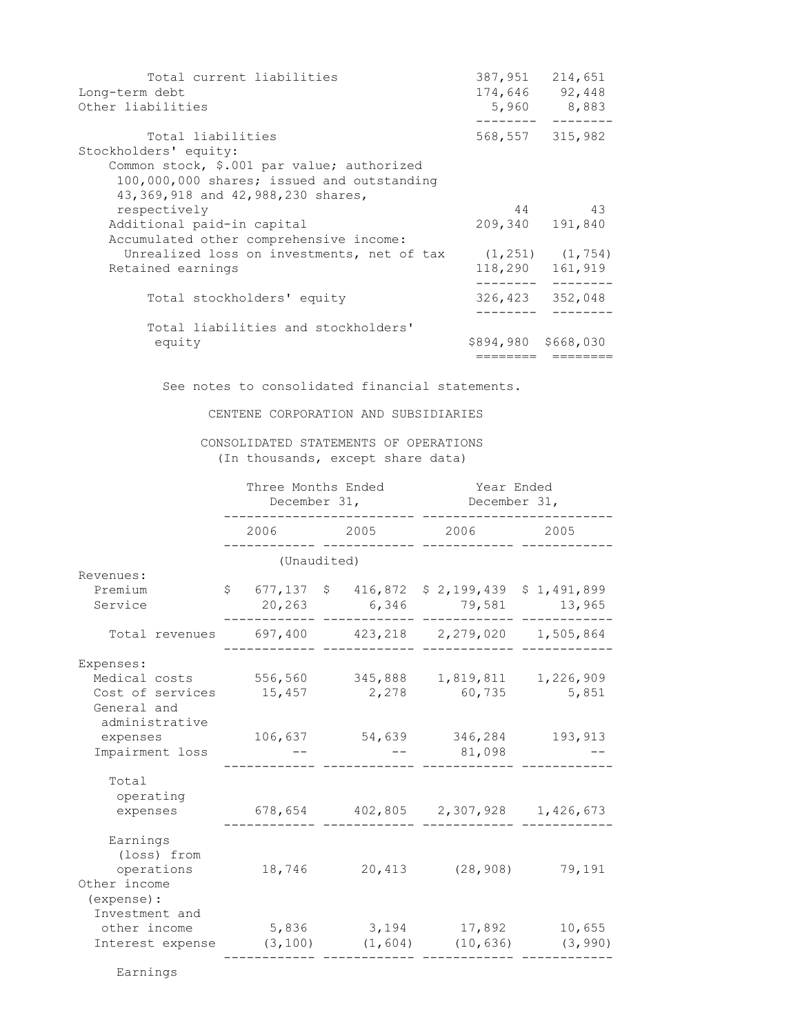| 387,951 | 214,651               |
|---------|-----------------------|
|         | 174,646 92,448        |
| 5,960   | 8,883                 |
|         | 568,557 315,982       |
|         |                       |
|         |                       |
|         |                       |
|         |                       |
| 44      | 43                    |
| 209,340 | 191,840               |
|         |                       |
|         | $(1, 251)$ $(1, 754)$ |
| 118,290 | 161,919               |
| 326,423 | 352,048               |
|         |                       |
|         |                       |
|         |                       |
|         | \$894,980 \$668,030   |

See notes to consolidated financial statements.

CENTENE CORPORATION AND SUBSIDIARIES

## CONSOLIDATED STATEMENTS OF OPERATIONS (In thousands, except share data)

|                                                                                                                | Three Months Ended<br>December 31, |                              |  |                            | Year Ended<br>December 31,                   |                               |  |  |
|----------------------------------------------------------------------------------------------------------------|------------------------------------|------------------------------|--|----------------------------|----------------------------------------------|-------------------------------|--|--|
|                                                                                                                |                                    | 2006                         |  | 2005                       | 2006                                         | 2005                          |  |  |
|                                                                                                                |                                    | (Unaudited)                  |  |                            |                                              |                               |  |  |
| Revenues:<br>Premium<br>Service                                                                                |                                    | 20,263                       |  | 6,346                      | $$677,137$ $$416,872$ $$2,199,439$<br>79,581 | \$1,491,899<br>13,965         |  |  |
| Total revenues                                                                                                 |                                    | 697,400                      |  | 423,218                    | 2,279,020                                    | 1,505,864                     |  |  |
| Expenses:<br>Medical costs<br>Cost of services<br>General and<br>administrative<br>expenses<br>Impairment loss |                                    | 556,560<br>15,457<br>106,637 |  | 345,888<br>2,278<br>54,639 | 1,819,811<br>60,735<br>346,284<br>81,098     | 1,226,909<br>5,851<br>193,913 |  |  |
| Total<br>operating<br>expenses                                                                                 |                                    | 678,654                      |  | 402,805                    | 2,307,928                                    | 1,426,673                     |  |  |
| Earnings<br>(loss) from<br>operations<br>Other income<br>(expense) :                                           |                                    | 18,746                       |  | 20,413                     | (28, 908)                                    | 79,191                        |  |  |
| Investment and<br>other income<br>Interest expense                                                             |                                    | 5,836<br>(3, 100)            |  | 3,194<br>(1, 604)          | 17,892<br>(10, 636)                          | 10,655<br>(3, 990)            |  |  |

Earnings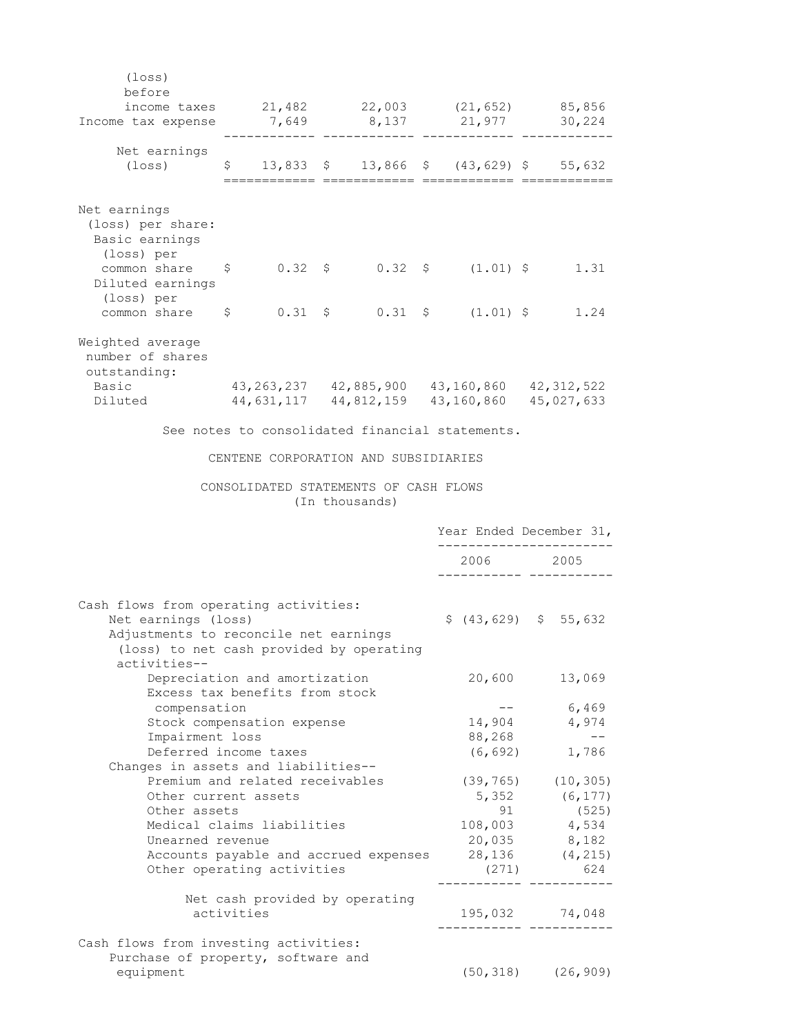| $(\texttt{loss})$                                                                                       |                                 |                                                     |                         |                         |
|---------------------------------------------------------------------------------------------------------|---------------------------------|-----------------------------------------------------|-------------------------|-------------------------|
| before                                                                                                  |                                 |                                                     |                         |                         |
| income taxes $21,482$ $22,003$ $(21,652)$ $85,856$<br>Income tax expense                                |                                 | 7,649 8,137                                         | 21,977                  | 30,224                  |
|                                                                                                         |                                 |                                                     |                         |                         |
| Net earnings                                                                                            |                                 |                                                     |                         |                         |
| $(\texttt{loss})$                                                                                       | $\mathsf{S}$                    | 13,833 \$ 13,866 \$ (43,629) \$ 55,632              |                         |                         |
|                                                                                                         |                                 |                                                     |                         |                         |
| Net earnings                                                                                            |                                 |                                                     |                         |                         |
| (loss) per share:                                                                                       |                                 |                                                     |                         |                         |
| Basic earnings                                                                                          |                                 |                                                     |                         |                         |
| (loss) per                                                                                              |                                 |                                                     |                         |                         |
| common share \$ 0.32 \$ 0.32 \$ (1.01) \$ 1.31                                                          |                                 |                                                     |                         |                         |
| Diluted earnings                                                                                        |                                 |                                                     |                         |                         |
| (loss) per                                                                                              |                                 |                                                     |                         |                         |
| common share $\begin{array}{ccccccccc} \xi & 0.31 & \xi & 0.31 & \xi & (1.01) & \xi & 1.24 \end{array}$ |                                 |                                                     |                         |                         |
| Weighted average                                                                                        |                                 |                                                     |                         |                         |
| number of shares                                                                                        |                                 |                                                     |                         |                         |
| outstanding:                                                                                            |                                 |                                                     |                         |                         |
| Basic                                                                                                   |                                 | 43, 263, 237 42, 885, 900 43, 160, 860 42, 312, 522 |                         |                         |
| Diluted                                                                                                 |                                 | 44,631,117 44,812,159 43,160,860 45,027,633         |                         |                         |
|                                                                                                         |                                 | See notes to consolidated financial statements.     |                         |                         |
|                                                                                                         |                                 |                                                     |                         |                         |
|                                                                                                         |                                 | CENTENE CORPORATION AND SUBSIDIARIES                |                         |                         |
|                                                                                                         |                                 | CONSOLIDATED STATEMENTS OF CASH FLOWS               |                         |                         |
|                                                                                                         |                                 |                                                     |                         |                         |
|                                                                                                         |                                 | (In thousands)                                      |                         |                         |
|                                                                                                         |                                 |                                                     |                         |                         |
|                                                                                                         |                                 |                                                     | Year Ended December 31, |                         |
|                                                                                                         |                                 |                                                     | 2006 2005               |                         |
|                                                                                                         |                                 |                                                     | -------- -----          |                         |
|                                                                                                         |                                 |                                                     |                         |                         |
| Cash flows from operating activities:                                                                   |                                 |                                                     |                         |                         |
| Net earnings (loss)                                                                                     |                                 |                                                     | $$(43, 629)$ $$55, 632$ |                         |
| Adjustments to reconcile net earnings                                                                   |                                 |                                                     |                         |                         |
| (loss) to net cash provided by operating                                                                |                                 |                                                     |                         |                         |
| activities--                                                                                            |                                 |                                                     |                         |                         |
|                                                                                                         | Depreciation and amortization   |                                                     | 20,600                  | 13,069                  |
|                                                                                                         | Excess tax benefits from stock  |                                                     | $- -$                   |                         |
| compensation                                                                                            |                                 |                                                     | 14,904                  | 6,469<br>4,974          |
| Impairment loss                                                                                         | Stock compensation expense      |                                                     | 88,268                  | $ -$                    |
|                                                                                                         | Deferred income taxes           |                                                     | (6, 692)                | 1,786                   |
| Changes in assets and liabilities--                                                                     |                                 |                                                     |                         |                         |
|                                                                                                         | Premium and related receivables |                                                     |                         | $(39, 765)$ $(10, 305)$ |
|                                                                                                         | Other current assets            |                                                     | 5,352                   | (6, 177)                |
| Other assets                                                                                            |                                 |                                                     | 91                      | (525)                   |
|                                                                                                         | Medical claims liabilities      |                                                     |                         | 108,003 4,534           |
| Unearned revenue                                                                                        |                                 |                                                     |                         | 20,035 8,182            |
|                                                                                                         |                                 | Accounts payable and accrued expenses               |                         | 28, 136 (4, 215)        |
|                                                                                                         | Other operating activities      |                                                     | (271)                   | 624                     |
|                                                                                                         |                                 |                                                     |                         |                         |
|                                                                                                         | activities                      | Net cash provided by operating                      | 195,032 74,048          |                         |
|                                                                                                         |                                 |                                                     |                         | -------- -----------    |
| Cash flows from investing activities:                                                                   |                                 |                                                     |                         |                         |
| Purchase of property, software and                                                                      |                                 |                                                     |                         |                         |
| equipment                                                                                               |                                 |                                                     |                         | $(50, 318)$ $(26, 909)$ |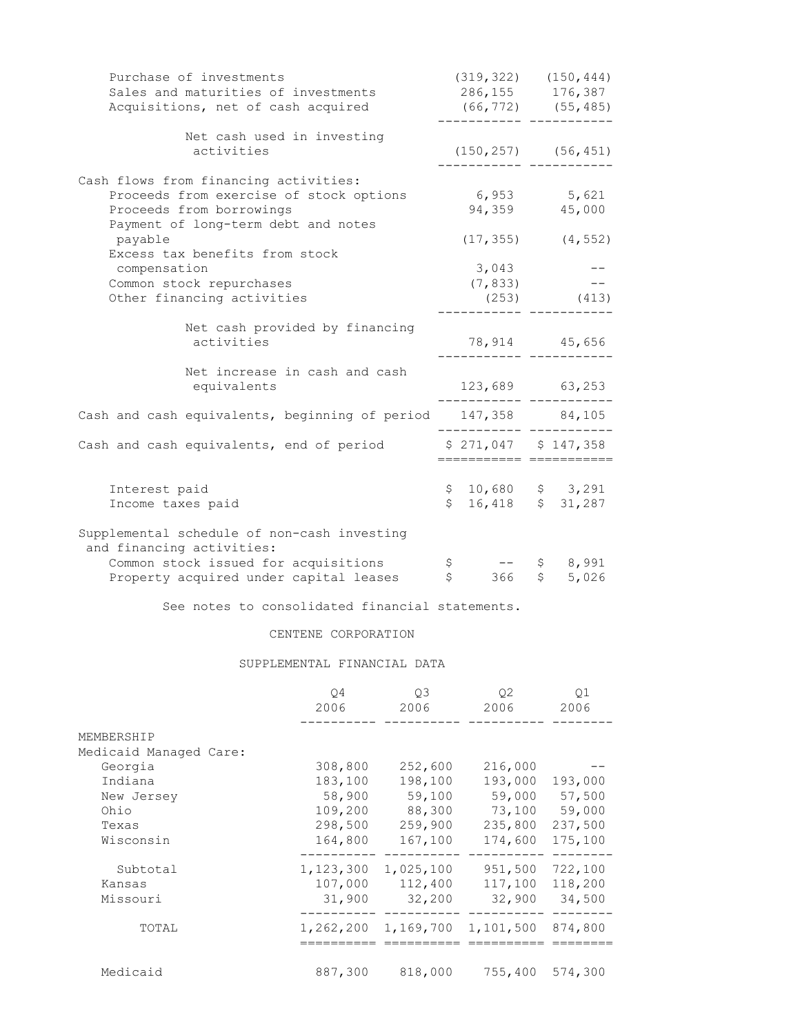| Purchase of investments                                                  |                    | (319, 322)               |              | (150, 444) |
|--------------------------------------------------------------------------|--------------------|--------------------------|--------------|------------|
| Sales and maturities of investments                                      |                    | 286, 155 176, 387        |              |            |
| Acquisitions, net of cash acquired                                       |                    | $(66, 772)$ $(55, 485)$  |              |            |
| Net cash used in investing                                               |                    |                          |              |            |
| activities                                                               |                    | $(150, 257)$ $(56, 451)$ |              |            |
| Cash flows from financing activities:                                    |                    |                          |              |            |
| Proceeds from exercise of stock options                                  |                    | 6,953                    |              | 5,621      |
| Proceeds from borrowings                                                 |                    | 94,359 45,000            |              |            |
| Payment of long-term debt and notes                                      |                    |                          |              |            |
| payable                                                                  |                    | (17, 355)                |              | (4, 552)   |
| Excess tax benefits from stock                                           |                    |                          |              |            |
| compensation                                                             |                    | 3,043                    |              |            |
| Common stock repurchases                                                 |                    | (7, 833)                 |              |            |
| Other financing activities                                               |                    | (253)                    |              | (413)      |
| Net cash provided by financing                                           |                    |                          |              |            |
| activities                                                               |                    | 78,914 45,656            |              |            |
| Net increase in cash and cash                                            |                    |                          |              |            |
| equivalents                                                              |                    | 123,689 63,253           |              |            |
|                                                                          |                    |                          |              |            |
| Cash and cash equivalents, beginning of period                           |                    | 147,358 84,105           |              |            |
| Cash and cash equivalents, end of period                                 |                    | $$271,047$ $$147,358$    |              |            |
|                                                                          |                    | ======================== |              |            |
| Interest paid                                                            |                    | $$10,680$ $$3,291$       |              |            |
| Income taxes paid                                                        | \$                 | 16,418 \$ 31,287         |              |            |
|                                                                          |                    |                          |              |            |
| Supplemental schedule of non-cash investing<br>and financing activities: |                    |                          |              |            |
| Common stock issued for acquisitions                                     | \$                 |                          | $\mathsf{S}$ | 8,991      |
| Property acquired under capital leases                                   | $\hat{\mathsf{S}}$ | 366                      | \$           | 5,026      |
| See notes to consolidated financial statements.                          |                    |                          |              |            |

## CENTENE CORPORATION

## SUPPLEMENTAL FINANCIAL DATA

|                                      | O4<br>2006                     | O3<br>2006                     | 02<br>2006                   | Q1<br>2006                   |
|--------------------------------------|--------------------------------|--------------------------------|------------------------------|------------------------------|
| MEMBERSHIP<br>Medicaid Managed Care: |                                |                                |                              |                              |
| Georgia<br>Indiana<br>New Jersey     | 308,800<br>183,100<br>58,900   | 252,600<br>198,100<br>59,100   | 216,000<br>193,000<br>59,000 | 193,000<br>57,500            |
| Ohio<br>Texas                        | 109,200<br>298,500             | 88,300<br>259,900              | 73,100<br>235,800            | 59,000<br>237,500            |
| Wisconsin                            | 164,800                        | 167,100                        | 174,600                      | 175,100                      |
| Subtotal<br>Kansas<br>Missouri       | 1,123,300<br>107,000<br>31,900 | 1,025,100<br>112,400<br>32,200 | 951,500<br>117,100<br>32,900 | 722,100<br>118,200<br>34,500 |
| TOTAL                                | 1,262,200                      | 1,169,700                      | 1,101,500                    | 874,800                      |
| Medicaid                             | 887,300                        | 818,000                        | 755,400                      | 574,300                      |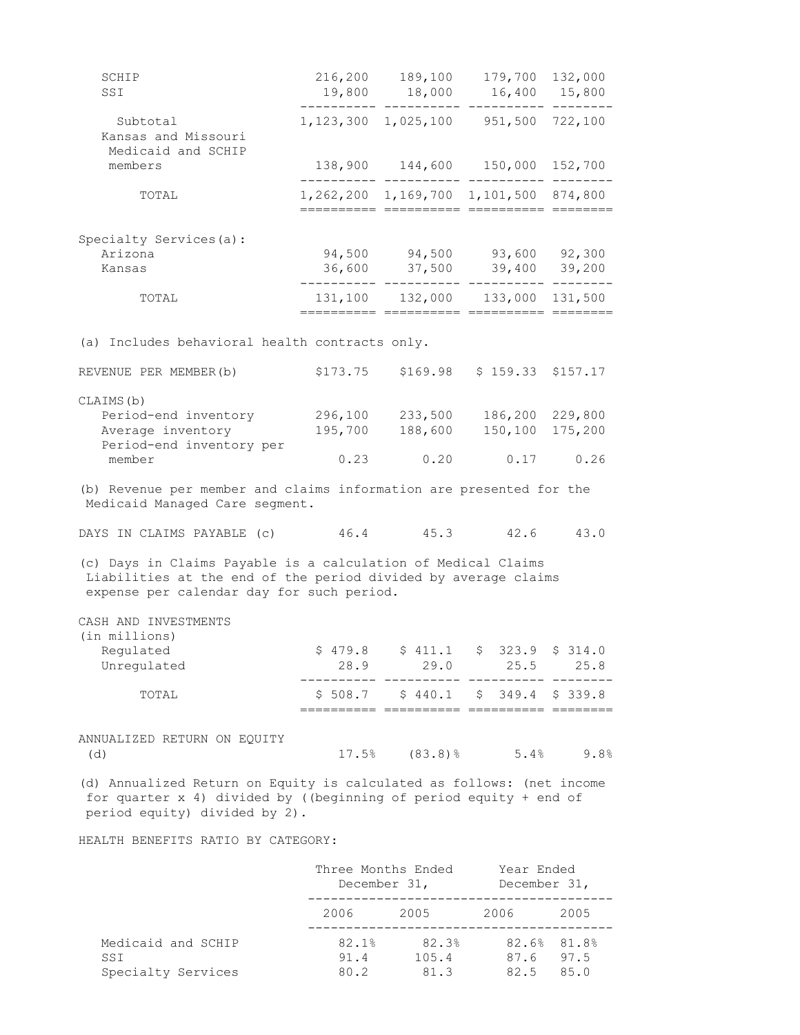| SCHIP<br>SSI                                                                                                                                                                 | 216,200<br>19,800  | 189,100<br>18,000                            | 179,700<br>16,400          | 132,000<br>15,800          |
|------------------------------------------------------------------------------------------------------------------------------------------------------------------------------|--------------------|----------------------------------------------|----------------------------|----------------------------|
| Subtotal<br>Kansas and Missouri                                                                                                                                              |                    | 1, 123, 300 1, 025, 100 951, 500 722, 100    |                            |                            |
| Medicaid and SCHIP<br>members                                                                                                                                                |                    | 138,900 144,600 150,000 152,700              |                            |                            |
| TOTAL                                                                                                                                                                        |                    | 1, 262, 200 1, 169, 700 1, 101, 500 874, 800 | ise essessesse essi        |                            |
| Specialty Services(a):                                                                                                                                                       |                    |                                              |                            |                            |
| Arizona<br>Kansas                                                                                                                                                            | 36,600             | 94,500 94,500<br>37,500                      | 93,600 92,300<br>39,400    | 39,200                     |
| TOTAL                                                                                                                                                                        |                    | 131,100 132,000                              | 133,000                    | 131,500                    |
| (a) Includes behavioral health contracts only.                                                                                                                               |                    |                                              |                            |                            |
| REVENUE PER MEMBER (b)                                                                                                                                                       | \$173.75           | \$169.98                                     | $$159.33$ $$157.17$        |                            |
| CLAIMS (b)<br>Period-end inventory<br>Average inventory<br>Period-end inventory per                                                                                          | 296,100<br>195,700 | 233,500<br>188,600                           | 150,100                    | 186,200 229,800<br>175,200 |
| member                                                                                                                                                                       | 0.23               | 0.20                                         | 0.17                       | 0.26                       |
| (b) Revenue per member and claims information are presented for the<br>Medicaid Managed Care segment.                                                                        |                    |                                              |                            |                            |
| DAYS IN CLAIMS PAYABLE (c)                                                                                                                                                   | 46.4               | 45.3                                         | 42.6                       | 43.0                       |
| (c) Days in Claims Payable is a calculation of Medical Claims<br>Liabilities at the end of the period divided by average claims<br>expense per calendar day for such period. |                    |                                              |                            |                            |
| CASH AND INVESTMENTS                                                                                                                                                         |                    |                                              |                            |                            |
| (in millions)<br>Regulated<br>Unregulated                                                                                                                                    | \$479.8<br>28.9    | $$411.1$ \$<br>29.0                          | 25.5                       | $323.9 \div 314.0$<br>25.8 |
| TOTAL                                                                                                                                                                        |                    | $$508.7$ $$440.1$ $$349.4$ $$339.8$          |                            |                            |
| ANNUALIZED RETURN ON EQUITY<br>(d)                                                                                                                                           | 17.5%              | $(83.8)$ $%$                                 | 5.4%                       | 9.8%                       |
| (d) Annualized Return on Equity is calculated as follows: (net income<br>for quarter x 4) divided by ((beginning of period equity + end of<br>period equity) divided by 2).  |                    |                                              |                            |                            |
| HEALTH BENEFITS RATIO BY CATEGORY:                                                                                                                                           |                    |                                              |                            |                            |
|                                                                                                                                                                              |                    | Three Months Ended<br>December 31,           | Year Ended<br>December 31, |                            |
|                                                                                                                                                                              | 2006               | 2005                                         | 2006                       | 2005                       |

| Medicaid and SCHIP | 82.1% | 82.3% |           | $82.6%$ $81.8%$ |
|--------------------|-------|-------|-----------|-----------------|
| SST                | 91.4  | 105.4 | 87.6 97.5 |                 |
| Specialty Services | 80.2  | 81.3  | 82.5 85.0 |                 |